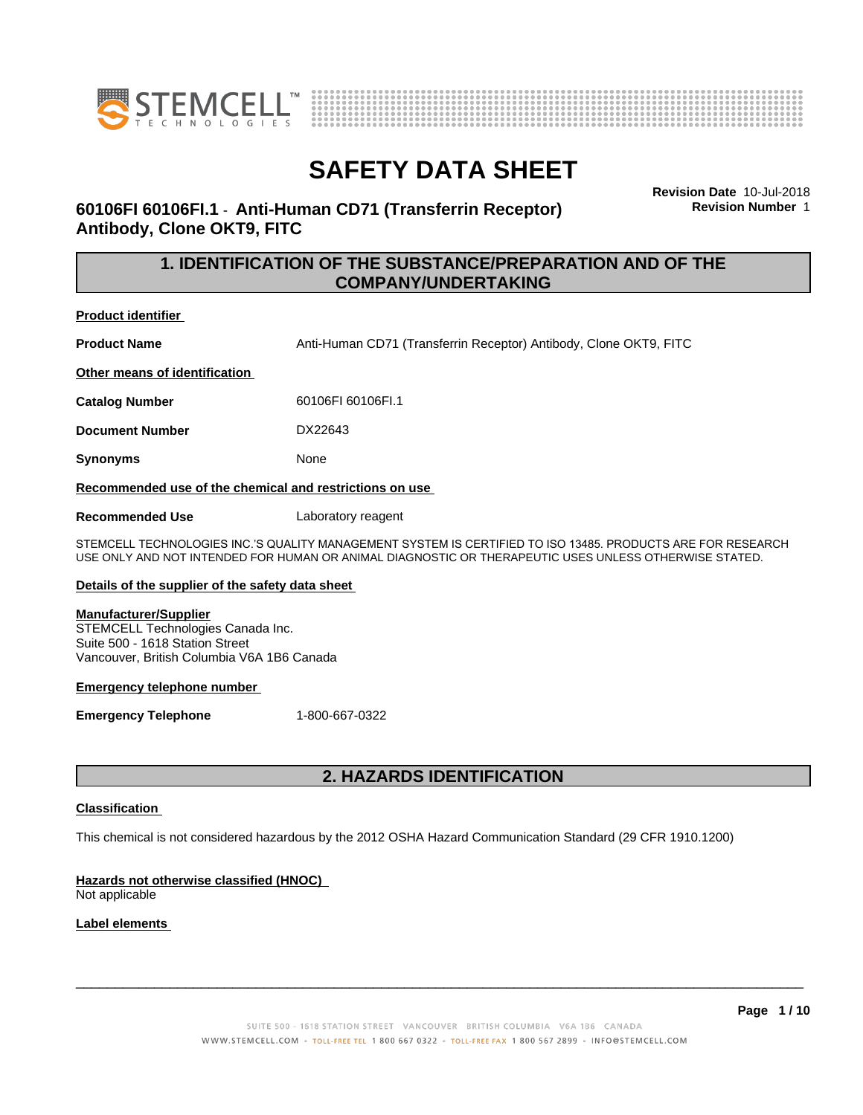



**60106FI 60106FI.1** - **Anti-Human CD71 (Transferrin Receptor) Antibody, Clone OKT9, FITC**

**Revision Date** 10-Jul-2018 **Revision Number** 1

### **1. IDENTIFICATION OF THE SUBSTANCE/PREPARATION AND OF THE COMPANY/UNDERTAKING**

**Product identifier**

**Product Name Anti-Human CD71 (Transferrin Receptor) Antibody, Clone OKT9, FITC** 

**Other means of identification**

**Catalog Number** 60106FI 60106FI.1

**Document Number** DX22643

**Synonyms** None

**Recommended use of the chemical and restrictions on use**

**Recommended Use** Laboratory reagent

STEMCELL TECHNOLOGIES INC.'S QUALITY MANAGEMENT SYSTEM IS CERTIFIED TO ISO 13485. PRODUCTS ARE FOR RESEARCH USE ONLY AND NOT INTENDED FOR HUMAN OR ANIMAL DIAGNOSTIC OR THERAPEUTIC USES UNLESS OTHERWISE STATED.

### **Details of the supplier of the safety data sheet**

### **Manufacturer/Supplier**

STEMCELL Technologies Canada Inc. Suite 500 - 1618 Station Street Vancouver, British Columbia V6A 1B6 Canada

### **Emergency telephone number**

**Emergency Telephone** 1-800-667-0322

### **2. HAZARDS IDENTIFICATION**

### **Classification**

This chemical is not considered hazardous by the 2012 OSHA Hazard Communication Standard (29 CFR 1910.1200)

### **Hazards not otherwise classified (HNOC)**

Not applicable

### **Label elements**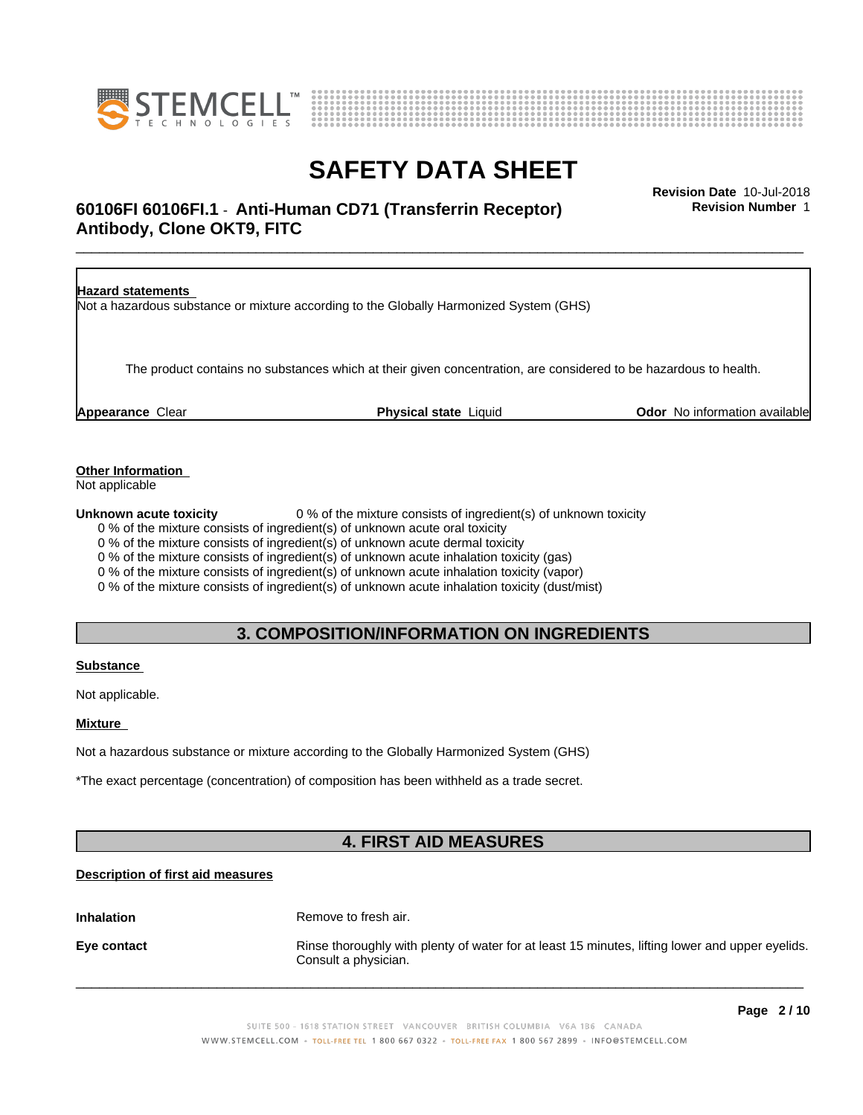



### \_\_\_\_\_\_\_\_\_\_\_\_\_\_\_\_\_\_\_\_\_\_\_\_\_\_\_\_\_\_\_\_\_\_\_\_\_\_\_\_\_\_\_\_\_\_\_\_\_\_\_\_\_\_\_\_\_\_\_\_\_\_\_\_\_\_\_\_\_\_\_\_\_\_\_\_\_\_\_\_\_\_\_\_\_\_\_\_\_\_\_\_\_ **Revision Date** 10-Jul-2018 **60106FI 60106FI.1** - **Anti-Human CD71 (Transferrin Receptor) Antibody, Clone OKT9, FITC**

**Revision Number** 1

| <b>Hazard statements</b> | Not a hazardous substance or mixture according to the Globally Harmonized System (GHS)                           |                                      |
|--------------------------|------------------------------------------------------------------------------------------------------------------|--------------------------------------|
|                          | The product contains no substances which at their given concentration, are considered to be hazardous to health. |                                      |
| <b>Appearance Clear</b>  | <b>Physical state Liquid</b>                                                                                     | <b>Odor</b> No information available |

### **Other Information**

Not applicable

**Unknown acute toxicity** 0 % of the mixture consists of ingredient(s) of unknown toxicity

0 % of the mixture consists of ingredient(s) of unknown acute oral toxicity

0 % of the mixture consists of ingredient(s) of unknown acute dermal toxicity

0 % of the mixture consists of ingredient(s) of unknown acute inhalation toxicity (gas)

0 % of the mixture consists of ingredient(s) of unknown acute inhalation toxicity (vapor)

0 % of the mixture consists of ingredient(s) of unknown acute inhalation toxicity (dust/mist)

### **3. COMPOSITION/INFORMATION ON INGREDIENTS**

### **Substance**

Not applicable.

### **Mixture**

Not a hazardous substance or mixture according to the Globally Harmonized System (GHS)

\*The exact percentage (concentration) of composition has been withheld as a trade secret.

### **4. FIRST AID MEASURES**

### **Description of first aid measures**

**Inhalation** Remove to fresh air.

**Eye contact Rinse thoroughly with plenty of water for at least 15 minutes, lifting lower and upper eyelids.** Consult a physician.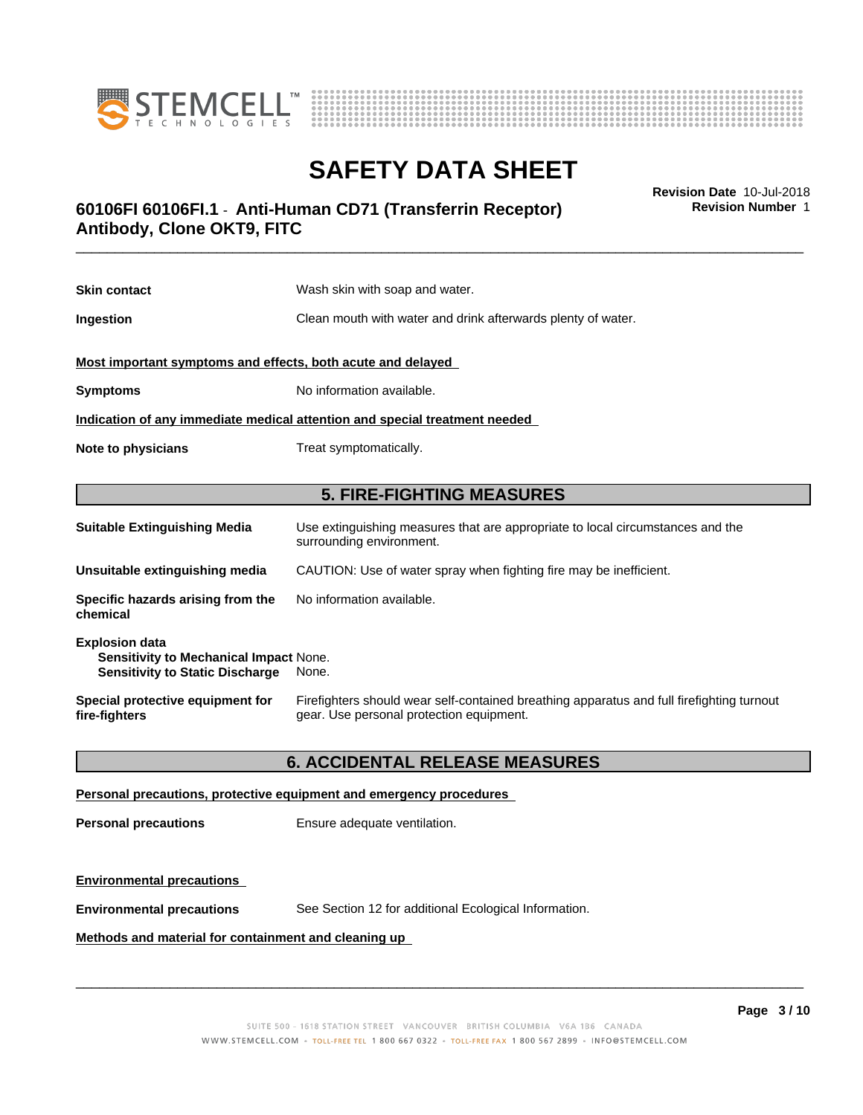



### \_\_\_\_\_\_\_\_\_\_\_\_\_\_\_\_\_\_\_\_\_\_\_\_\_\_\_\_\_\_\_\_\_\_\_\_\_\_\_\_\_\_\_\_\_\_\_\_\_\_\_\_\_\_\_\_\_\_\_\_\_\_\_\_\_\_\_\_\_\_\_\_\_\_\_\_\_\_\_\_\_\_\_\_\_\_\_\_\_\_\_\_\_ **Revision Date** 10-Jul-2018 **60106FI 60106FI.1** - **Anti-Human CD71 (Transferrin Receptor) Antibody, Clone OKT9, FITC**

**Revision Number** 1

| <b>Skin contact</b>                                                        | Wash skin with soap and water.                                                                             |  |
|----------------------------------------------------------------------------|------------------------------------------------------------------------------------------------------------|--|
| Ingestion                                                                  | Clean mouth with water and drink afterwards plenty of water.                                               |  |
| Most important symptoms and effects, both acute and delayed                |                                                                                                            |  |
| <b>Symptoms</b>                                                            | No information available.                                                                                  |  |
| Indication of any immediate medical attention and special treatment needed |                                                                                                            |  |
| Note to physicians                                                         | Treat symptomatically.                                                                                     |  |
|                                                                            |                                                                                                            |  |
|                                                                            | <b>5. FIRE-FIGHTING MEASURES</b>                                                                           |  |
| <b>Suitable Extinguishing Media</b>                                        | Use extinguishing measures that are appropriate to local circumstances and the<br>surrounding environment. |  |
| Unsuitable extinguishing media                                             | CAUTION: Use of water spray when fighting fire may be inefficient.                                         |  |
|                                                                            |                                                                                                            |  |
| Specific hazards arising from the<br>chemical                              | No information available.                                                                                  |  |

| Special protective equipment for | Firefighters should wear self-contained breathing apparatus and full firefighting turnout |
|----------------------------------|-------------------------------------------------------------------------------------------|
| fire-fighters                    | gear. Use personal protection equipment.                                                  |

### **6. ACCIDENTAL RELEASE MEASURES**

### **Personal precautions, protective equipment and emergency procedures**

**Personal precautions** Ensure adequate ventilation.

**Sensitivity to Static Discharge** None.

### **Environmental precautions**

**Environmental precautions** See Section 12 for additional Ecological Information.

### **Methods and material for containment and cleaning up**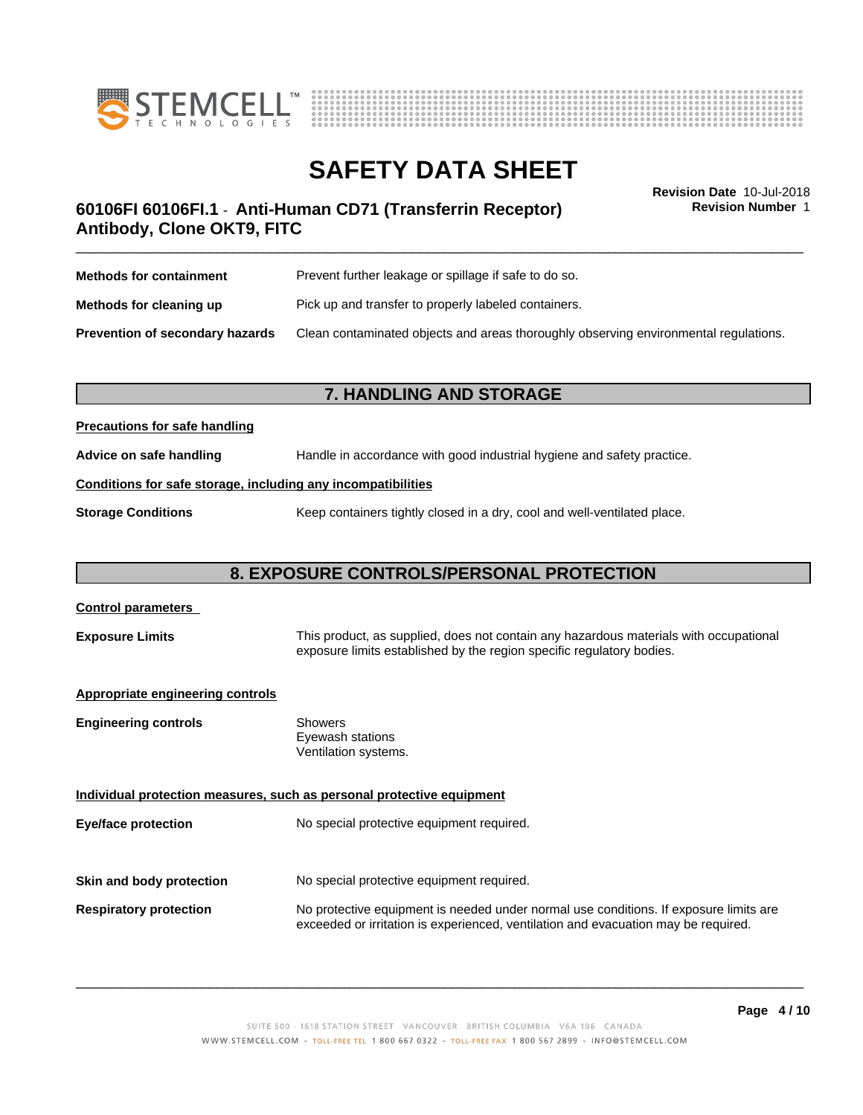



**Revision Number** 1

### \_\_\_\_\_\_\_\_\_\_\_\_\_\_\_\_\_\_\_\_\_\_\_\_\_\_\_\_\_\_\_\_\_\_\_\_\_\_\_\_\_\_\_\_\_\_\_\_\_\_\_\_\_\_\_\_\_\_\_\_\_\_\_\_\_\_\_\_\_\_\_\_\_\_\_\_\_\_\_\_\_\_\_\_\_\_\_\_\_\_\_\_\_ **Revision Date** 10-Jul-2018 **60106FI 60106FI.1** - **Anti-Human CD71 (Transferrin Receptor) Antibody, Clone OKT9, FITC**

| <b>Methods for containment</b>         | Prevent further leakage or spillage if safe to do so.                                |  |
|----------------------------------------|--------------------------------------------------------------------------------------|--|
| Methods for cleaning up                | Pick up and transfer to properly labeled containers.                                 |  |
| <b>Prevention of secondary hazards</b> | Clean contaminated objects and areas thoroughly observing environmental regulations. |  |

### **7. HANDLING AND STORAGE**

### **Precautions for safe handling**

**Advice on safe handling** Handle in accordance with good industrial hygiene and safety practice.

### **Conditions for safe storage, including any incompatibilities**

**Storage Conditions** Keep containers tightly closed in a dry, cool and well-ventilated place.

### **8. EXPOSURE CONTROLS/PERSONAL PROTECTION**

| <b>Control parameters</b>               |                                                                                                                                                                             |
|-----------------------------------------|-----------------------------------------------------------------------------------------------------------------------------------------------------------------------------|
| <b>Exposure Limits</b>                  | This product, as supplied, does not contain any hazardous materials with occupational<br>exposure limits established by the region specific regulatory bodies.              |
| <b>Appropriate engineering controls</b> |                                                                                                                                                                             |
| <b>Engineering controls</b>             | Showers<br>Eyewash stations<br>Ventilation systems.                                                                                                                         |
|                                         | Individual protection measures, such as personal protective equipment                                                                                                       |
| Eye/face protection                     | No special protective equipment required.                                                                                                                                   |
| Skin and body protection                | No special protective equipment required.                                                                                                                                   |
|                                         |                                                                                                                                                                             |
| <b>Respiratory protection</b>           | No protective equipment is needed under normal use conditions. If exposure limits are<br>exceeded or irritation is experienced, ventilation and evacuation may be required. |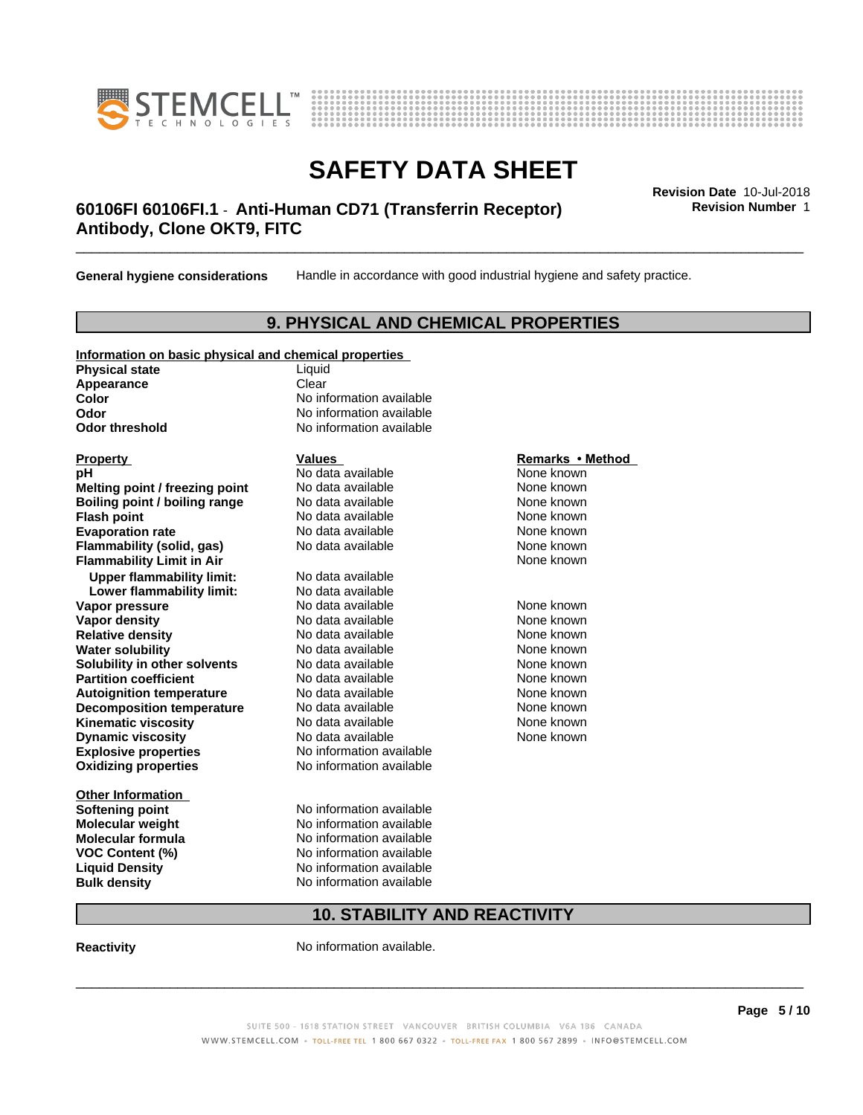



### \_\_\_\_\_\_\_\_\_\_\_\_\_\_\_\_\_\_\_\_\_\_\_\_\_\_\_\_\_\_\_\_\_\_\_\_\_\_\_\_\_\_\_\_\_\_\_\_\_\_\_\_\_\_\_\_\_\_\_\_\_\_\_\_\_\_\_\_\_\_\_\_\_\_\_\_\_\_\_\_\_\_\_\_\_\_\_\_\_\_\_\_\_ **Revision Date** 10-Jul-2018 **60106FI 60106FI.1** - **Anti-Human CD71 (Transferrin Receptor) Antibody, Clone OKT9, FITC**

**General hygiene considerations** Handle in accordance with good industrial hygiene and safety practice.

### **9. PHYSICAL AND CHEMICAL PROPERTIES**

| Information on basic physical and chemical properties |        |  |
|-------------------------------------------------------|--------|--|
| <b>Physical state</b>                                 | Liauid |  |

Appearance **Clear** 

**Explosive properties**<br> **Oxidizing properties**<br>
No information available **Oxidizing properties Property Remarks • Method Property Remarks • Method pH** No data available None known<br> **Melting point / freezing point** No data available None known **Melting point / freezing point** No data available None known<br> **Boiling point / boiling range** No data available None known **Boiling point / boiling range<br>Flash point Evaporation rate rate rate** No data available **None known Flammability (solid, gas)** No data available None known **Flammability Limit in Air Air 1988 1999 <b>1999 1999 <b>1999 1999 1999 1999 1999 1999 1999 1999 1999 1999 1999 1999 1999 1999 1999 1999 1999 1999 1999 1999 1999 1999 1999 Upper flammability limit:** No data available **Lower flammability limit:** No data available **Vapor pressure No data available None known Vapor density No data available and the Shown Relative density and the None known Relative density and None known Relative density No data available and the Shown None known**<br> **Water solubility No data available None known None known Water solubility Solubility in other solvents** No data available **None known**<br> **Partition coefficient** No data available None known<br>
None known **Partition coefficient**<br> **Autoignition temperature**<br>
No data available None None known<br>
None known **Autoignition temperature No data available None known**<br> **Decomposition temperature** No data available **None known**<br>
None known **Decomposition temperature** No data available<br> **Kinematic viscosity** No data available **Kinematic viscosity No data available None known**<br> **Notata available None known**<br>
Notata available **None known Dynamic viscosity No data available None known** 

**Other Information VOC** Content (%)

**Color** No information available **Odor** No information available **Odor threshold** No information available

**Flash points available None known** 

**Softening point** No information available **Molecular weight** No information available **Molecular formula No information available**<br>**VOC Content (%)** No information available **Liquid Density** No information available **Bulk density** No information available

### **10. STABILITY AND REACTIVITY**

**Reactivity No information available.** 

 $\overline{\phantom{a}}$  ,  $\overline{\phantom{a}}$  ,  $\overline{\phantom{a}}$  ,  $\overline{\phantom{a}}$  ,  $\overline{\phantom{a}}$  ,  $\overline{\phantom{a}}$  ,  $\overline{\phantom{a}}$  ,  $\overline{\phantom{a}}$  ,  $\overline{\phantom{a}}$  ,  $\overline{\phantom{a}}$  ,  $\overline{\phantom{a}}$  ,  $\overline{\phantom{a}}$  ,  $\overline{\phantom{a}}$  ,  $\overline{\phantom{a}}$  ,  $\overline{\phantom{a}}$  ,  $\overline{\phantom{a}}$ 

**Revision Number** 1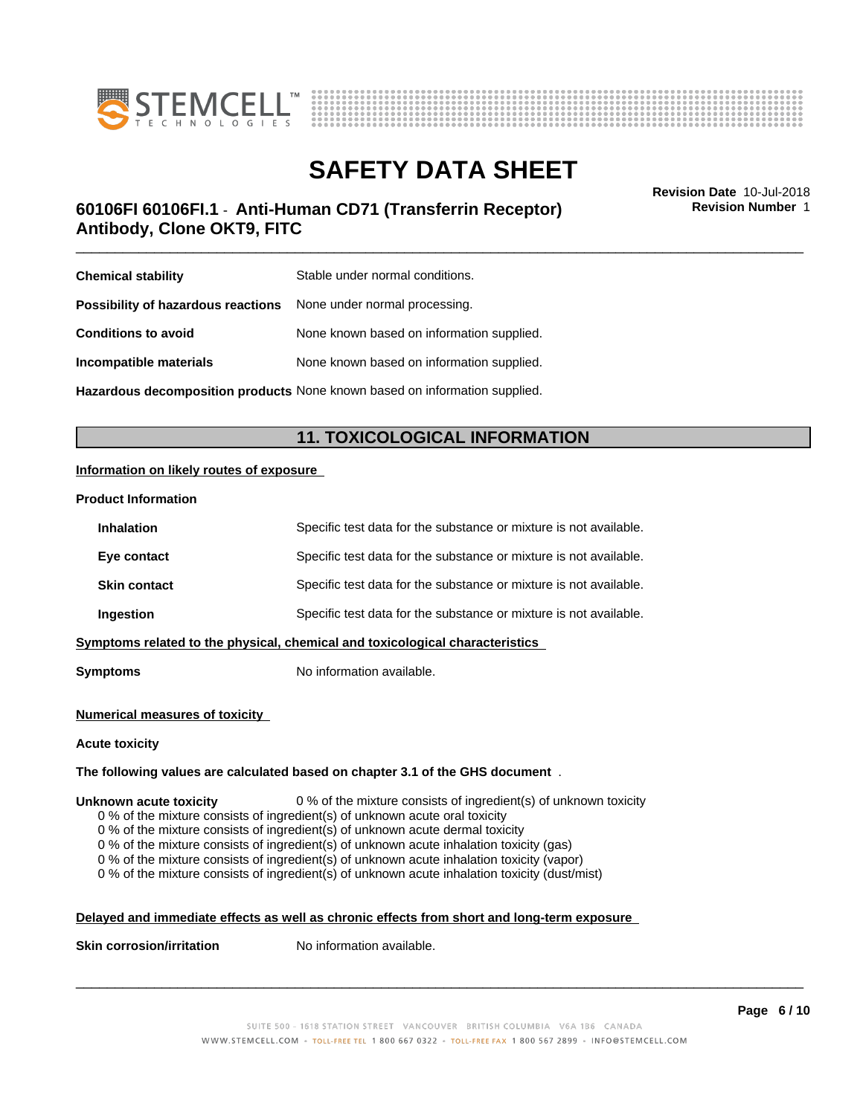



# **SAFETY DATA SHEET**<br>Revision Date 10-Jul-2018

### \_\_\_\_\_\_\_\_\_\_\_\_\_\_\_\_\_\_\_\_\_\_\_\_\_\_\_\_\_\_\_\_\_\_\_\_\_\_\_\_\_\_\_\_\_\_\_\_\_\_\_\_\_\_\_\_\_\_\_\_\_\_\_\_\_\_\_\_\_\_\_\_\_\_\_\_\_\_\_\_\_\_\_\_\_\_\_\_\_\_\_\_\_ **Revision Date** 10-Jul-2018 **60106FI 60106FI.1** - **Anti-Human CD71 (Transferrin Receptor) Antibody, Clone OKT9, FITC**

**Revision Number** 1

| <b>Chemical stability</b>                                               | Stable under normal conditions.           |
|-------------------------------------------------------------------------|-------------------------------------------|
| <b>Possibility of hazardous reactions</b> None under normal processing. |                                           |
| <b>Conditions to avoid</b>                                              | None known based on information supplied. |
| Incompatible materials                                                  | None known based on information supplied. |
|                                                                         |                                           |

**Hazardous decomposition products** None known based on information supplied.

### **11. TOXICOLOGICAL INFORMATION**

### **Information on likely routes of exposure**

### **Product Information**

| <b>Inhalation</b>                                                            | Specific test data for the substance or mixture is not available. |
|------------------------------------------------------------------------------|-------------------------------------------------------------------|
| Eye contact                                                                  | Specific test data for the substance or mixture is not available. |
| <b>Skin contact</b>                                                          | Specific test data for the substance or mixture is not available. |
| Ingestion                                                                    | Specific test data for the substance or mixture is not available. |
| Symptoms related to the physical, chemical and toxicological characteristics |                                                                   |
|                                                                              |                                                                   |

**Symptoms** No information available.

### **Numerical measures of toxicity**

### **Acute toxicity**

### **The following values are calculated based on chapter 3.1 of the GHS document** .

### **Unknown acute toxicity** 0 % of the mixture consists of ingredient(s) of unknown toxicity

0 % of the mixture consists of ingredient(s) of unknown acute oral toxicity

0 % of the mixture consists of ingredient(s) of unknown acute dermal toxicity

 $0$  % of the mixture consists of ingredient(s) of unknown acute inhalation toxicity (gas)

0 % of the mixture consists of ingredient(s) of unknown acute inhalation toxicity (vapor)

0 % of the mixture consists of ingredient(s) of unknown acute inhalation toxicity (dust/mist)

### **Delayed and immediate effects as well as chronic effects from short and long-term exposure**

**Skin corrosion/irritation** No information available.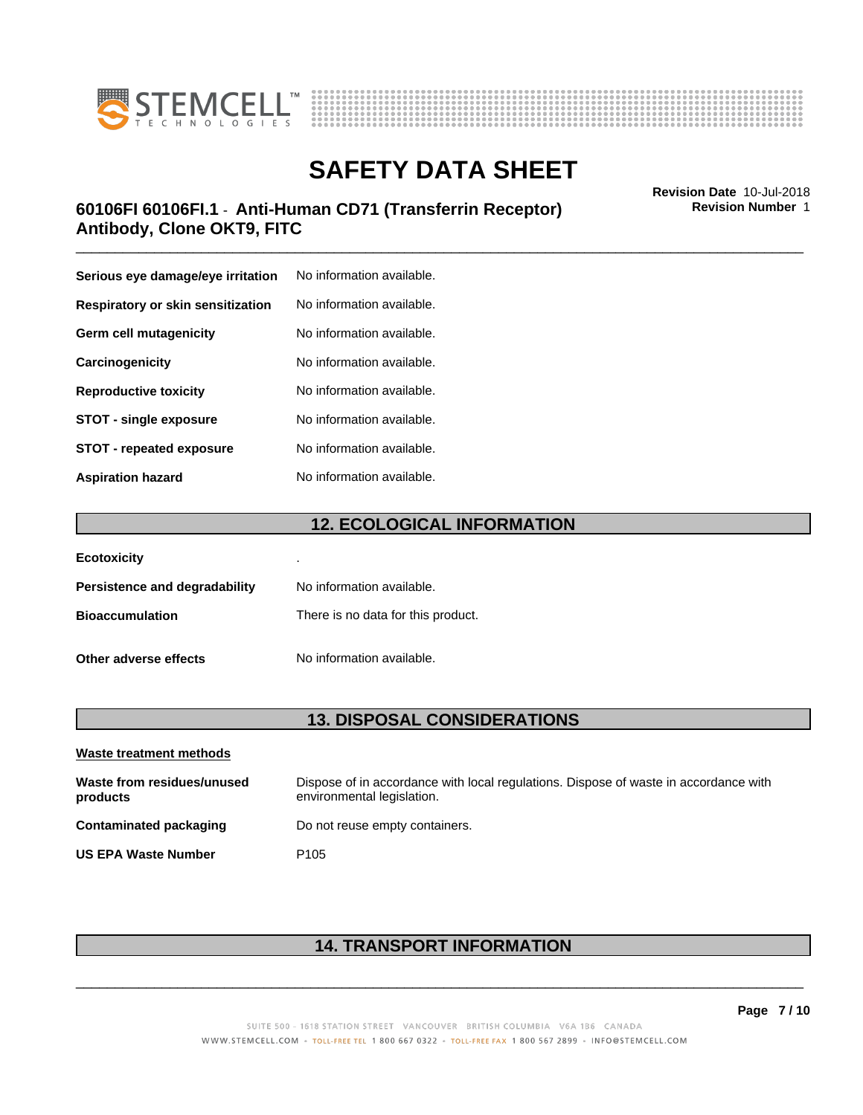



### \_\_\_\_\_\_\_\_\_\_\_\_\_\_\_\_\_\_\_\_\_\_\_\_\_\_\_\_\_\_\_\_\_\_\_\_\_\_\_\_\_\_\_\_\_\_\_\_\_\_\_\_\_\_\_\_\_\_\_\_\_\_\_\_\_\_\_\_\_\_\_\_\_\_\_\_\_\_\_\_\_\_\_\_\_\_\_\_\_\_\_\_\_ **Revision Date** 10-Jul-2018 **60106FI 60106FI.1** - **Anti-Human CD71 (Transferrin Receptor) Antibody, Clone OKT9, FITC**

| Serious eye damage/eye irritation | No information available. |
|-----------------------------------|---------------------------|
| Respiratory or skin sensitization | No information available. |
| Germ cell mutagenicity            | No information available. |
| Carcinogenicity                   | No information available. |
| <b>Reproductive toxicity</b>      | No information available. |
| <b>STOT - single exposure</b>     | No information available. |
| <b>STOT - repeated exposure</b>   | No information available. |
| <b>Aspiration hazard</b>          | No information available. |

### **12. ECOLOGICAL INFORMATION**

| <b>Ecotoxicity</b>            | ٠                                  |
|-------------------------------|------------------------------------|
| Persistence and degradability | No information available.          |
| <b>Bioaccumulation</b>        | There is no data for this product. |
| Other adverse effects         | No information available.          |

### **13. DISPOSAL CONSIDERATIONS**

| Waste treatment methods                |                                                                                                                    |  |
|----------------------------------------|--------------------------------------------------------------------------------------------------------------------|--|
| Waste from residues/unused<br>products | Dispose of in accordance with local regulations. Dispose of waste in accordance with<br>environmental legislation. |  |
| Contaminated packaging                 | Do not reuse empty containers.                                                                                     |  |
| <b>US EPA Waste Number</b>             | P <sub>105</sub>                                                                                                   |  |

### **14. TRANSPORT INFORMATION**

**Revision Number** 1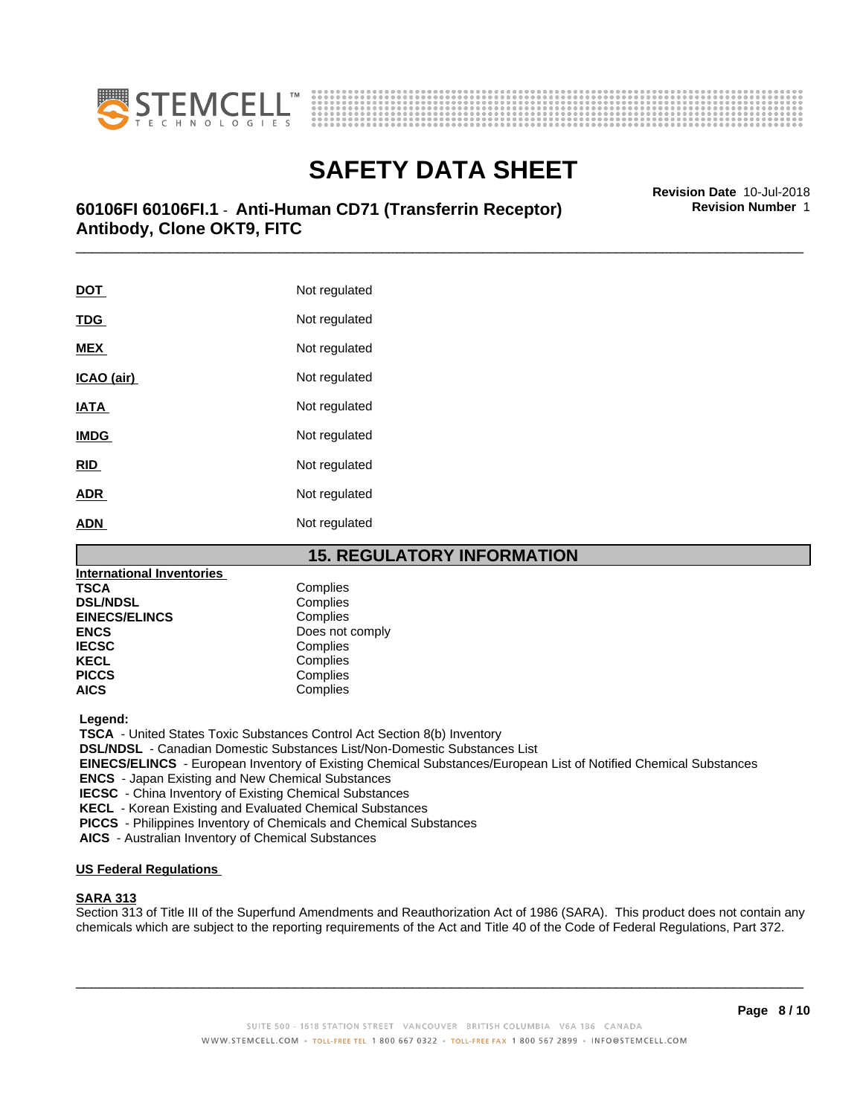



# **SAFETY DATA SHEET**<br>Revision Date 10-Jul-2018

### \_\_\_\_\_\_\_\_\_\_\_\_\_\_\_\_\_\_\_\_\_\_\_\_\_\_\_\_\_\_\_\_\_\_\_\_\_\_\_\_\_\_\_\_\_\_\_\_\_\_\_\_\_\_\_\_\_\_\_\_\_\_\_\_\_\_\_\_\_\_\_\_\_\_\_\_\_\_\_\_\_\_\_\_\_\_\_\_\_\_\_\_\_ **Revision Date** 10-Jul-2018 **60106FI 60106FI.1** - **Anti-Human CD71 (Transferrin Receptor) Antibody, Clone OKT9, FITC**

**DOT** Not regulated **TDG** Not regulated **MEX** Not regulated **ICAO** (air) Not regulated **IATA** Not regulated **IMDG** Not regulated **RID** Not regulated **ADR** Not regulated **ADN** Not regulated

### **15. REGULATORY INFORMATION**

| International Inventories |                 |
|---------------------------|-----------------|
| TSCA                      | Complies        |
| <b>DSL/NDSL</b>           | Complies        |
| <b>EINECS/ELINCS</b>      | Complies        |
| ENCS                      | Does not comply |
| <b>IECSC</b>              | Complies        |
| KECL                      | Complies        |
| <b>PICCS</b>              | Complies        |
| AICS                      | Complies        |
|                           |                 |

 **Legend:**

 **TSCA** - United States Toxic Substances Control Act Section 8(b) Inventory

 **DSL/NDSL** - Canadian Domestic Substances List/Non-Domestic Substances List

 **EINECS/ELINCS** - European Inventory of Existing Chemical Substances/European List of Notified Chemical Substances

 **ENCS** - Japan Existing and New Chemical Substances

 **IECSC** - China Inventory of Existing Chemical Substances

 **KECL** - Korean Existing and Evaluated Chemical Substances

 **PICCS** - Philippines Inventory of Chemicals and Chemical Substances

 **AICS** - Australian Inventory of Chemical Substances

### **US Federal Regulations**

### **SARA 313**

Section 313 of Title III of the Superfund Amendments and Reauthorization Act of 1986 (SARA). This product does not contain any chemicals which are subject to the reporting requirements of the Act and Title 40 of the Code of Federal Regulations, Part 372.

 $\overline{\phantom{a}}$  ,  $\overline{\phantom{a}}$  ,  $\overline{\phantom{a}}$  ,  $\overline{\phantom{a}}$  ,  $\overline{\phantom{a}}$  ,  $\overline{\phantom{a}}$  ,  $\overline{\phantom{a}}$  ,  $\overline{\phantom{a}}$  ,  $\overline{\phantom{a}}$  ,  $\overline{\phantom{a}}$  ,  $\overline{\phantom{a}}$  ,  $\overline{\phantom{a}}$  ,  $\overline{\phantom{a}}$  ,  $\overline{\phantom{a}}$  ,  $\overline{\phantom{a}}$  ,  $\overline{\phantom{a}}$ 

**Revision Number** 1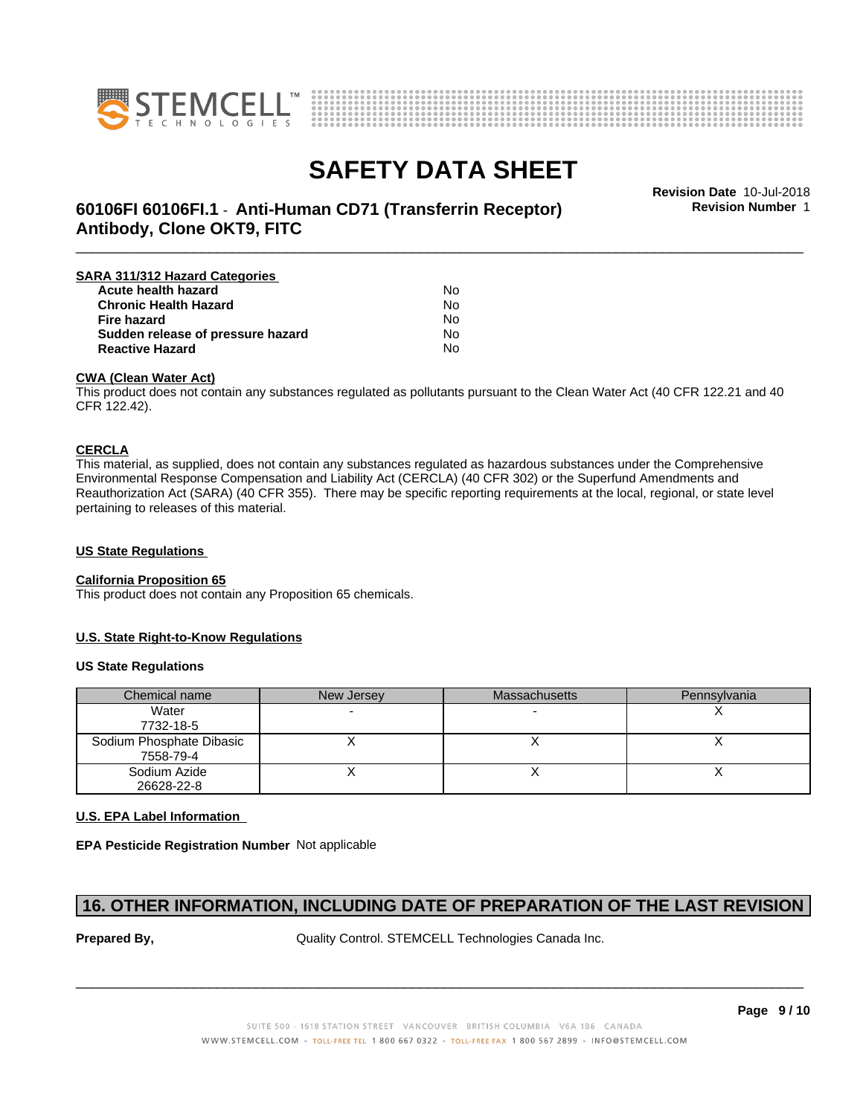



\_\_\_\_\_\_\_\_\_\_\_\_\_\_\_\_\_\_\_\_\_\_\_\_\_\_\_\_\_\_\_\_\_\_\_\_\_\_\_\_\_\_\_\_\_\_\_\_\_\_\_\_\_\_\_\_\_\_\_\_\_\_\_\_\_\_\_\_\_\_\_\_\_\_\_\_\_\_\_\_\_\_\_\_\_\_\_\_\_\_\_\_\_ **Revision Date** 10-Jul-2018 **60106FI 60106FI.1** - **Anti-Human CD71 (Transferrin Receptor) Antibody, Clone OKT9, FITC**

**Revision Number** 1

| SARA 311/312 Hazard Categories    |    |  |
|-----------------------------------|----|--|
| Acute health hazard               | N٥ |  |
| <b>Chronic Health Hazard</b>      | No |  |
| <b>Fire hazard</b>                | No |  |
| Sudden release of pressure hazard | No |  |
| <b>Reactive Hazard</b>            | N٥ |  |

### **CWA (Clean WaterAct)**

This product does not contain any substances regulated as pollutants pursuant to the Clean Water Act (40 CFR 122.21 and 40 CFR 122.42).

### **CERCLA**

This material, as supplied, does not contain any substances regulated as hazardous substances under the Comprehensive Environmental Response Compensation and Liability Act (CERCLA) (40 CFR 302) or the Superfund Amendments and Reauthorization Act (SARA) (40 CFR 355). There may be specific reporting requirements at the local, regional, or state level pertaining to releases of this material.

### **US State Regulations**

### **California Proposition 65**

This product does not contain any Proposition 65 chemicals.

### **U.S. State Right-to-Know Regulations**

### **US State Regulations**

| Chemical name                         | New Jersey | <b>Massachusetts</b> | Pennsylvania |
|---------------------------------------|------------|----------------------|--------------|
| Water<br>7732-18-5                    |            |                      |              |
| Sodium Phosphate Dibasic<br>7558-79-4 |            |                      |              |
| Sodium Azide<br>26628-22-8            |            |                      |              |

### **U.S. EPA Label Information**

**EPA Pesticide Registration Number** Not applicable

### **16. OTHER INFORMATION, INCLUDING DATE OF PREPARATION OF THE LAST REVISION**

**Prepared By, State Control. STEMCELL Technologies Canada Inc.**